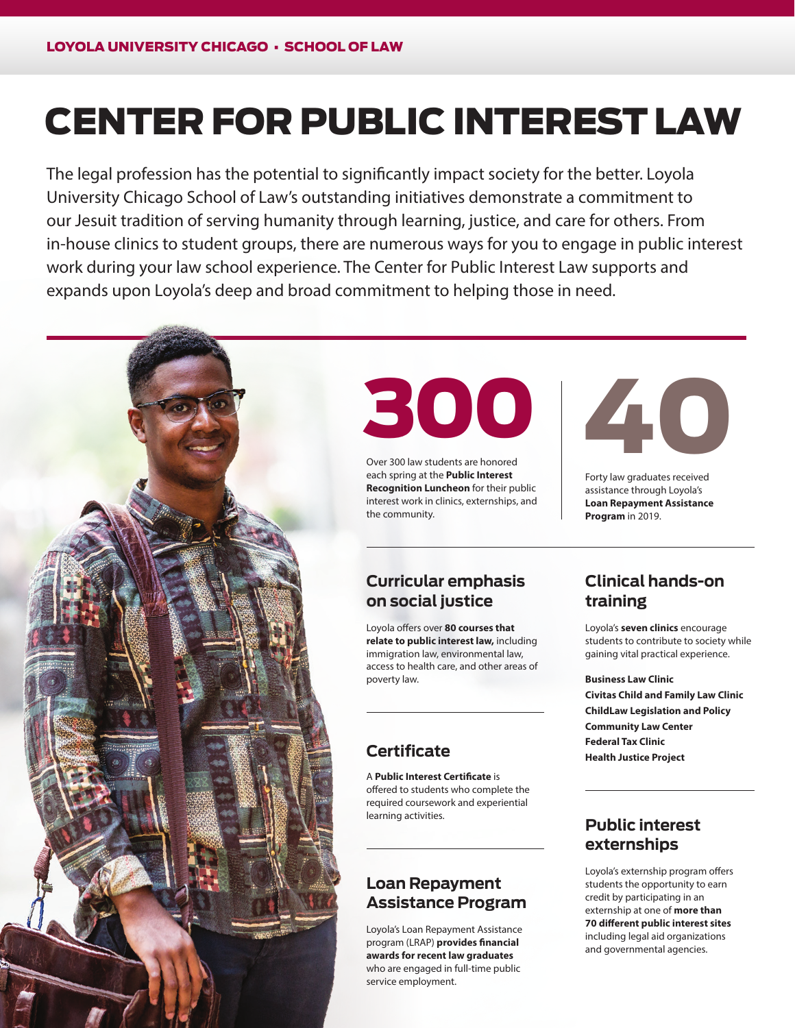# CENTER FOR PUBLIC INTEREST LAW

The legal profession has the potential to significantly impact society for the better. Loyola University Chicago School of Law's outstanding initiatives demonstrate a commitment to our Jesuit tradition of serving humanity through learning, justice, and care for others. From in-house clinics to student groups, there are numerous ways for you to engage in public interest work during your law school experience. The Center for Public Interest Law supports and expands upon Loyola's deep and broad commitment to helping those in need.





Over 300 law students are honored each spring at the **Public Interest Recognition Luncheon** for their public interest work in clinics, externships, and the community.



Forty law graduates received assistance through Loyola's **Loan Repayment Assistance Program** in 2019.

#### **Curricular emphasis on social justice**

Loyola offers over **80 courses that relate to public interest law,** including immigration law, environmental law, access to health care, and other areas of poverty law.

# **Certificate**

A **Public Interest Certificate** is offered to students who complete the required coursework and experiential learning activities.

#### **Loan Repayment Assistance Program**

Loyola's Loan Repayment Assistance program (LRAP) **provides financial awards for recent law graduates** who are engaged in full-time public service employment.

# **Clinical hands-on training**

Loyola's **seven clinics** encourage students to contribute to society while gaining vital practical experience.

**Business Law Clinic Civitas Child and Family Law Clinic ChildLaw Legislation and Policy Community Law Center Federal Tax Clinic Health Justice Project**

## **Public interest externships**

Loyola's externship program offers students the opportunity to earn credit by participating in an externship at one of **more than 70 different public interest sites**  including legal aid organizations and governmental agencies.